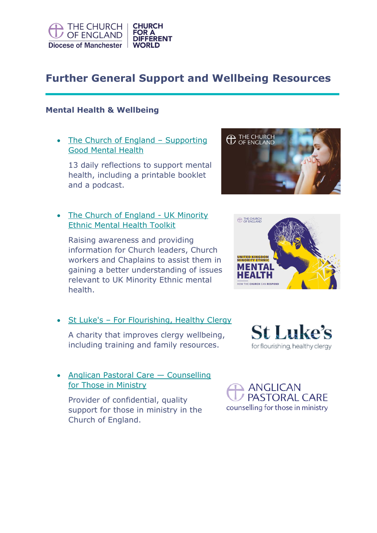

# **Further General Support and Wellbeing Resources**

#### **Mental Health & Wellbeing**

• [The Church of England](https://www.churchofengland.org/resources/mental-health-resources/supporting-good-mental-health) – Supporting [Good Mental Health](https://www.churchofengland.org/resources/mental-health-resources/supporting-good-mental-health)

13 daily reflections to support mental health, including a printable booklet and a podcast.

• [The Church of England -](https://www.churchofengland.org/resources/mental-health-resources/uk-minority-ethnic-mental-health-toolkit) UK Minority [Ethnic Mental Health Toolkit](https://www.churchofengland.org/resources/mental-health-resources/uk-minority-ethnic-mental-health-toolkit)

Raising awareness and providing information for Church leaders, Church workers and Chaplains to assist them in gaining a better understanding of issues relevant to UK Minority Ethnic mental health.

• St Luke's - [For Flourishing, Healthy Clergy](https://www.stlukesforclergy.org.uk/)

A charity that improves clergy wellbeing, including training and family resources.

• [Anglican Pastoral Care](https://pastoralcare.org.uk/) – Counselling [for Those in Ministry](https://pastoralcare.org.uk/)

Provider of confidential, quality support for those in ministry in the Church of England.







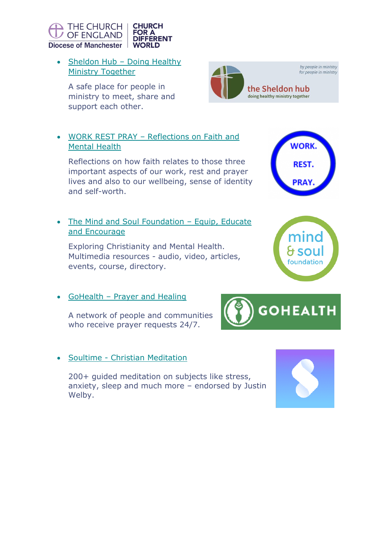

• Sheldon Hub – Doing Healthy [Ministry Together](https://www.sheldonhub.org/) 

A safe place for people in ministry to meet, share and support each other.

### • WORK REST PRAY – [Reflections on Faith and](http://workrestpray.com/)  [Mental Health](http://workrestpray.com/)

Reflections on how faith relates to those three important aspects of our work, rest and prayer lives and also to our wellbeing, sense of identity and self-worth.

## • [The Mind and Soul Foundation](https://www.mindandsoulfoundation.org/) - Equip, Educate [and Encourage](https://www.mindandsoulfoundation.org/)

Exploring Christianity and Mental Health. Multimedia resources - audio, video, articles, events, course, directory.

• GoHealth - [Prayer and Healing](https://gohealth.org.uk/)

A network of people and communities who receive prayer requests 24/7.

# • Soultime - [Christian Meditation](https://www.soultime.com/)

200+ guided meditation on subjects like stress, anxiety, sleep and much more – endorsed by Justin Welby.









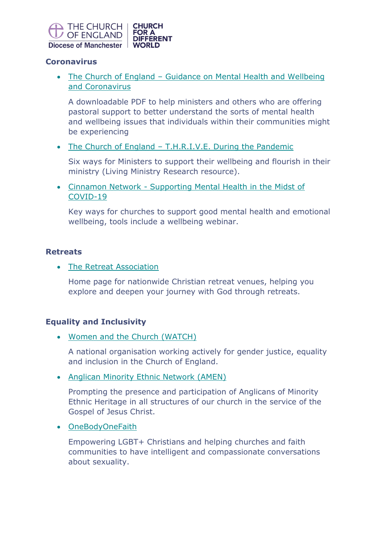

#### **Coronavirus**

• The Church of England – [Guidance on Mental Health and Wellbeing](https://www.churchofengland.org/sites/default/files/2020-03/Guidance%20on%20mental%20health%20and%20wellbeing%20and%20Coronavirus.pdf)  [and Coronavirus](https://www.churchofengland.org/sites/default/files/2020-03/Guidance%20on%20mental%20health%20and%20wellbeing%20and%20Coronavirus.pdf) 

A downloadable PDF to help ministers and others who are offering pastoral support to better understand the sorts of mental health and wellbeing issues that individuals within their communities might be experiencing

• The Church of England – [T.H.R.I.V.E. During the Pandemic](https://www.churchofengland.org/sites/default/files/2020-05/THRIVE%20-%20ministry%20branding.pdf)

Six ways for Ministers to support their wellbeing and flourish in their ministry (Living Ministry Research resource).

• Cinnamon Network - [Supporting Mental Health in the Midst of](https://www.cinnamonnetwork.co.uk/mental-health-and-wellbeing/)  [COVID-19](https://www.cinnamonnetwork.co.uk/mental-health-and-wellbeing/)

Key ways for churches to support good mental health and emotional wellbeing, tools include a wellbeing webinar.

#### **Retreats**

• [The Retreat Association](https://www.retreats.org.uk/)

Home page for nationwide Christian retreat venues, helping you explore and deepen your journey with God through retreats.

#### **Equality and Inclusivity**

• [Women and the Church](https://womenandthechurch.org/) (WATCH)

A national organisation working actively for gender justice, equality and inclusion in the Church of England.

• [Anglican Minority Ethnic Network \(AMEN\)](https://www.amenanglican.org.uk/home)

Prompting the presence and participation of Anglicans of Minority Ethnic Heritage in all structures of our church in the service of the Gospel of Jesus Christ.

• [OneBodyOneFaith](http://www.onebodyonefaith.org.uk/)

Empowering LGBT+ Christians and helping churches and faith communities to have intelligent and compassionate conversations about sexuality.